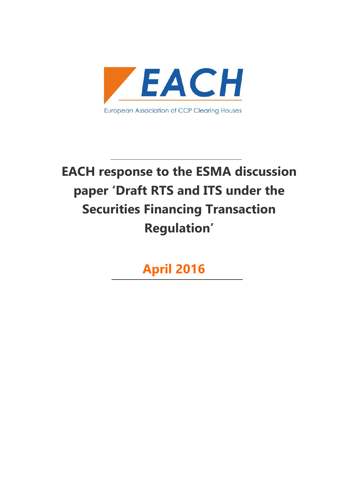

# **EACH response to the ESMA discussion paper 'Draft RTS and ITS under the Securities Financing Transaction Regulation'**

**April 2016**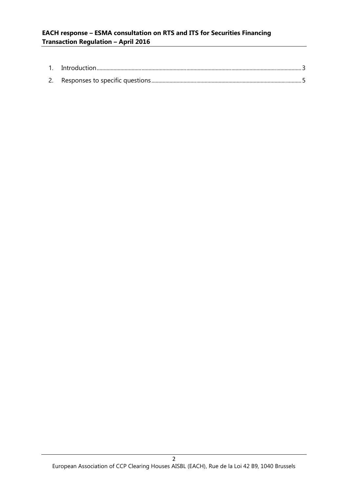| Introduction |  |
|--------------|--|
|              |  |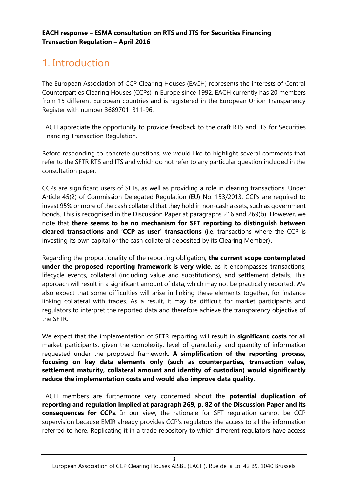# 1. Introduction

The European Association of CCP Clearing Houses (EACH) represents the interests of Central Counterparties Clearing Houses (CCPs) in Europe since 1992. EACH currently has 20 members from 15 different European countries and is registered in the European Union Transparency Register with number 36897011311-96.

EACH appreciate the opportunity to provide feedback to the draft RTS and ITS for Securities Financing Transaction Regulation.

Before responding to concrete questions, we would like to highlight several comments that refer to the SFTR RTS and ITS and which do not refer to any particular question included in the consultation paper.

CCPs are significant users of SFTs, as well as providing a role in clearing transactions. Under Article 45(2) of Commission Delegated Regulation (EU) No. 153/2013, CCPs are required to invest 95% or more of the cash collateral that they hold in non-cash assets, such as government bonds. This is recognised in the Discussion Paper at paragraphs 216 and 269(b). However, we note that **there seems to be no mechanism for SFT reporting to distinguish between cleared transactions and 'CCP as user' transactions** (i.e. transactions where the CCP is investing its own capital or the cash collateral deposited by its Clearing Member)**.**

Regarding the proportionality of the reporting obligation, **the current scope contemplated under the proposed reporting framework is very wide**, as it encompasses transactions, lifecycle events, collateral (including value and substitutions), and settlement details. This approach will result in a significant amount of data, which may not be practically reported. We also expect that some difficulties will arise in linking these elements together, for instance linking collateral with trades. As a result, it may be difficult for market participants and regulators to interpret the reported data and therefore achieve the transparency objective of the SFTR.

We expect that the implementation of SFTR reporting will result in **significant costs** for all market participants, given the complexity, level of granularity and quantity of information requested under the proposed framework. **A simplification of the reporting process, focusing on key data elements only (such as counterparties, transaction value, settlement maturity, collateral amount and identity of custodian) would significantly reduce the implementation costs and would also improve data quality**.

EACH members are furthermore very concerned about the **potential duplication of reporting and regulation implied at paragraph 269, p. 82 of the Discussion Paper and its consequences for CCPs**. In our view, the rationale for SFT regulation cannot be CCP supervision because EMIR already provides CCP's regulators the access to all the information referred to here. Replicating it in a trade repository to which different regulators have access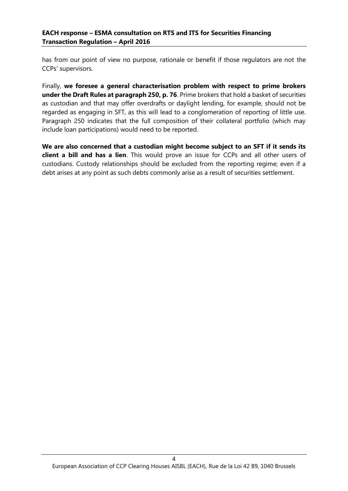has from our point of view no purpose, rationale or benefit if those regulators are not the CCPs' supervisors.

Finally, **we foresee a general characterisation problem with respect to prime brokers under the Draft Rules at paragraph 250, p. 76**. Prime brokers that hold a basket of securities as custodian and that may offer overdrafts or daylight lending, for example, should not be regarded as engaging in SFT, as this will lead to a conglomeration of reporting of little use. Paragraph 250 indicates that the full composition of their collateral portfolio (which may include loan participations) would need to be reported.

**We are also concerned that a custodian might become subject to an SFT if it sends its client a bill and has a lien**. This would prove an issue for CCPs and all other users of custodians. Custody relationships should be excluded from the reporting regime; even if a debt arises at any point as such debts commonly arise as a result of securities settlement.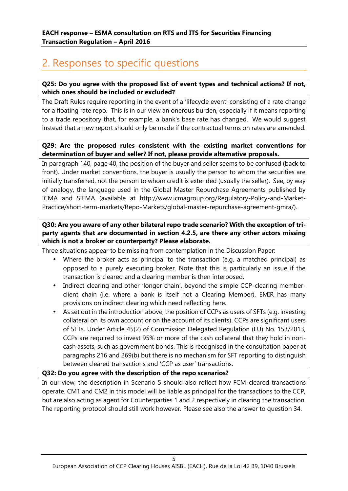# 2. Responses to specific questions

# **Q25: Do you agree with the proposed list of event types and technical actions? If not, which ones should be included or excluded?**

The Draft Rules require reporting in the event of a 'lifecycle event' consisting of a rate change for a floating rate repo. This is in our view an onerous burden, especially if it means reporting to a trade repository that, for example, a bank's base rate has changed. We would suggest instead that a new report should only be made if the contractual terms on rates are amended.

# **Q29: Are the proposed rules consistent with the existing market conventions for determination of buyer and seller? If not, please provide alternative proposals.**

In paragraph 140, page 40, the position of the buyer and seller seems to be confused (back to front). Under market conventions, the buyer is usually the person to whom the securities are initially transferred, not the person to whom credit is extended (usually the seller). See, by way of analogy, the language used in the Global Master Repurchase Agreements published by ICMA and SIFMA (available at http://www.icmagroup.org/Regulatory-Policy-and-Market- Practice/short-term-markets/Repo-Markets/global-master-repurchase-agreement-gmra/).

# **Q30: Are you aware of any other bilateral repo trade scenario? With the exception of tri party agents that are documented in section 4.2.5, are there any other actors missing which is not a broker or counterparty? Please elaborate.**

Three situations appear to be missing from contemplation in the Discussion Paper:

- Where the broker acts as principal to the transaction (e.g. a matched principal) as opposed to a purely executing broker. Note that this is particularly an issue if the transaction is cleared and a clearing member is then interposed.
- Indirect clearing and other 'longer chain', beyond the simple CCP-clearing memberclient chain (i.e. where a bank is itself not a Clearing Member). EMIR has many provisions on indirect clearing which need reflecting here.
- As set out in the introduction above, the position of CCPs as users of SFTs (e.g. investing collateral on its own account or on the account of its clients). CCPs are significant users of SFTs. Under Article 45(2) of Commission Delegated Regulation (EU) No. 153/2013, CCPs are required to invest 95% or more of the cash collateral that they hold in non cash assets, such as government bonds. This is recognised in the consultation paper at paragraphs 216 and 269(b) but there is no mechanism for SFT reporting to distinguish between cleared transactions and 'CCP as user' transactions.

# **Q32: Do you agree with the description of the repo scenarios?**

In our view, the description in Scenario 5 should also reflect how FCM-cleared transactions operate. CM1 and CM2 in this model will be liable as principal for the transactions to the CCP, but are also acting as agent for Counterparties 1 and 2 respectively in clearing the transaction. The reporting protocol should still work however. Please see also the answer to question 34.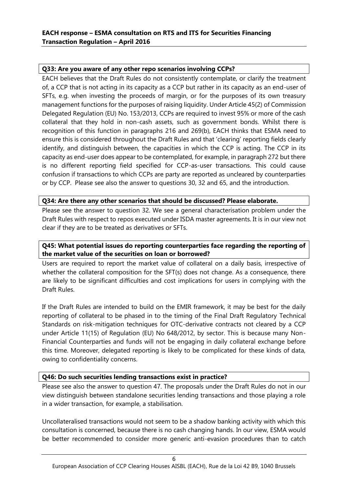# **Q33: Are you aware of any other repo scenarios involving CCPs?**

EACH believes that the Draft Rules do not consistently contemplate, or clarify the treatment of, a CCP that is not acting in its capacity as a CCP but rather in its capacity as an end-user of SFTs, e.g. when investing the proceeds of margin, or for the purposes of its own treasury management functions for the purposes of raising liquidity. Under Article 45(2) of Commission Delegated Regulation (EU) No. 153/2013, CCPs are required to invest 95% or more of the cash collateral that they hold in non-cash assets, such as government bonds. Whilst there is recognition of this function in paragraphs 216 and 269(b), EACH thinks that ESMA need to ensure this is considered throughout the Draft Rules and that 'clearing' reporting fields clearly identify, and distinguish between, the capacities in which the CCP is acting. The CCP in its capacity as end-user does appear to be contemplated, for example, in paragraph 272 but there is no different reporting field specified for CCP-as-user transactions. This could cause confusion if transactions to which CCPs are party are reported as uncleared by counterparties or by CCP. Please see also the answer to questions 30, 32 and 65, and the introduction.

# **Q34: Are there any other scenarios that should be discussed? Please elaborate.**

Please see the answer to question 32. We see a general characterisation problem under the Draft Rules with respect to repos executed under ISDA master agreements. It is in our view not clear if they are to be treated as derivatives or SFTs.

# **Q45: What potential issues do reporting counterparties face regarding the reporting of the market value of the securities on loan or borrowed?**

Users are required to report the market value of collateral on a daily basis, irrespective of whether the collateral composition for the SFT(s) does not change. As a consequence, there are likely to be significant difficulties and cost implications for users in complying with the Draft Rules.

If the Draft Rules are intended to build on the EMIR framework, it may be best for the daily reporting of collateral to be phased in to the timing of the Final Draft Regulatory Technical Standards on risk-mitigation techniques for OTC-derivative contracts not cleared by a CCP under Article 11(15) of Regulation (EU) No 648/2012, by sector. This is because many Non- Financial Counterparties and funds will not be engaging in daily collateral exchange before this time. Moreover, delegated reporting is likely to be complicated for these kinds of data, owing to confidentiality concerns.

# **Q46: Do such securities lending transactions exist in practice?**

Please see also the answer to question 47. The proposals under the Draft Rules do not in our view distinguish between standalone securities lending transactions and those playing a role in a wider transaction, for example, a stabilisation.

Uncollateralised transactions would not seem to be a shadow banking activity with which this consultation is concerned, because there is no cash changing hands. In our view, ESMA would be better recommended to consider more generic anti-evasion procedures than to catch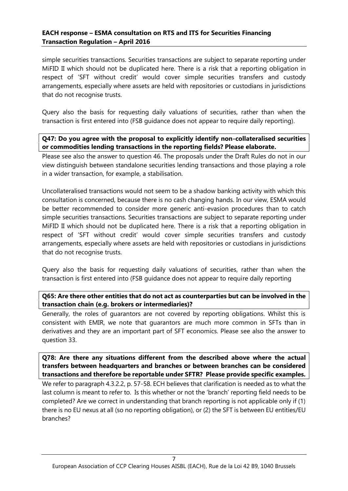simple securities transactions. Securities transactions are subject to separate reporting under MiFID II which should not be duplicated here. There is a risk that a reporting obligation in respect of 'SFT without credit' would cover simple securities transfers and custody arrangements, especially where assets are held with repositories or custodians in jurisdictions that do not recognise trusts.

Query also the basis for requesting daily valuations of securities, rather than when the transaction is first entered into (FSB guidance does not appear to require daily reporting).

# **Q47: Do you agree with the proposal to explicitly identify non-collateralised securities or commodities lending transactions in the reporting fields? Please elaborate.**

Please see also the answer to question 46. The proposals under the Draft Rules do not in our view distinguish between standalone securities lending transactions and those playing a role in a wider transaction, for example, a stabilisation.

Uncollateralised transactions would not seem to be a shadow banking activity with which this consultation is concerned, because there is no cash changing hands. In our view, ESMA would be better recommended to consider more generic anti-evasion procedures than to catch simple securities transactions. Securities transactions are subject to separate reporting under MiFID II which should not be duplicated here. There is a risk that a reporting obligation in respect of 'SFT without credit' would cover simple securities transfers and custody arrangements, especially where assets are held with repositories or custodians in jurisdictions that do not recognise trusts.

Query also the basis for requesting daily valuations of securities, rather than when the transaction is first entered into (FSB guidance does not appear to require daily reporting

# **Q65: Are there other entities that do not act as counterparties but can be involved in the transaction chain (e.g. brokers or intermediaries)?**

Generally, the roles of guarantors are not covered by reporting obligations. Whilst this is consistent with EMIR, we note that guarantors are much more common in SFTs than in derivatives and they are an important part of SFT economics. Please see also the answer to question 33.

**Q78: Are there any situations different from the described above where the actual transfers between headquarters and branches or between branches can be considered transactions and therefore be reportable under SFTR? Please provide specific examples.**

We refer to paragraph 4.3.2.2, p. 57-58. ECH believes that clarification is needed as to what the last column is meant to refer to. Is this whether or not the 'branch' reporting field needs to be completed? Are we correct in understanding that branch reporting is not applicable only if (1) there is no EU nexus at all (so no reporting obligation), or (2) the SFT is between EU entities/EU branches?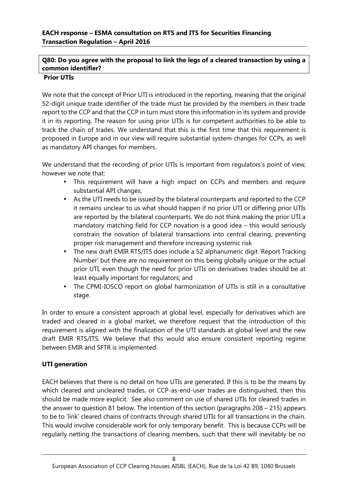# **Q80: Do you agree with the proposal to link the legs of a cleared transaction by using a common identifier?**

## **Prior UTIs**

We note that the concept of Prior UTI is introduced in the reporting, meaning that the original 52-digit unique trade identifier of the trade must be provided by the members in their trade report to the CCP and that the CCP in turn must store this information in its system and provide it in its reporting. The reason for using prior UTIs is for competent authorities to be able to track the chain of trades. We understand that this is the first time that this requirement is proposed in Europe and in our view will require substantial system changes for CCPs, as well as mandatory API changes for members.

We understand that the recording of prior UTIs is important from regulators's point of view, however we note that:

- This requirement will have a high impact on CCPs and members and require substantial API changes;
- As the UTI needs to be issued by the bilateral counterparts and reported to the CCP it remains unclear to us what should happen if no prior UTI or differing prior UTIs are reported by the bilateral counterparts. We do not think making the prior UTI a mandatory matching field for CCP novation is a good idea – this would seriously constrain the novation of bilateral transactions into central clearing, preventing proper risk management and therefore increasing systemic risk
- The new draft EMIR RTS/ITS does include a 52 alphanumeric digit 'Report Tracking Number' but there are no requirement on this being globally unique or the actual prior UTI, even though the need for prior UTIs on derivatives trades should be at least equally important for regulators; and
- The CPMI-IOSCO report on global harmonization of UTIs is still in a consultative stage.

In order to ensure a consistent approach at global level, especially for derivatives which are traded and cleared in a global market, we therefore request that the introduction of this requirement is aligned with the finalization of the UTI standards at global level and the new draft EMIR RTS/ITS. We believe that this would also ensure consistent reporting regime between EMIR and SFTR is implemented.

# **UTI generation**

EACH believes that there is no detail on how UTIs are generated. If this is to be the means by which cleared and uncleared trades, or CCP-as-end-user trades are distinguished, then this should be made more explicit. See also comment on use of shared UTIs for cleared trades in the answer to question 81 below. The intention of this section (paragraphs 208 – 215) appears to be to 'link' cleared chains of contracts through shared UTIs for all transactions in the chain. This would involve considerable work for only temporary benefit. This is because CCPs will be regularly netting the transactions of clearing members, such that there will inevitably be no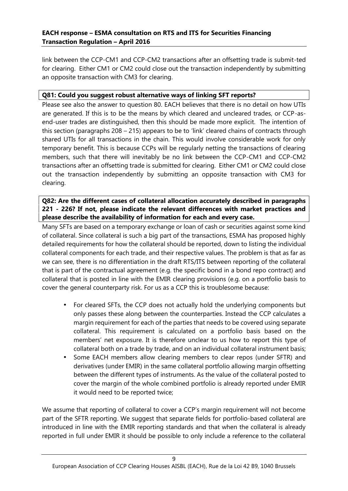link between the CCP-CM1 and CCP-CM2 transactions after an offsetting trade is submit-ted for clearing. Either CM1 or CM2 could close out the transaction independently by submitting an opposite transaction with CM3 for clearing.

# **Q81: Could you suggest robust alternative ways of linking SFT reports?**

Please see also the answer to question 80. EACH believes that there is no detail on how UTIs are generated. If this is to be the means by which cleared and uncleared trades, or CCP-as end-user trades are distinguished, then this should be made more explicit. The intention of this section (paragraphs 208 – 215) appears to be to 'link' cleared chains of contracts through shared UTIs for all transactions in the chain. This would involve considerable work for only temporary benefit. This is because CCPs will be regularly netting the transactions of clearing members, such that there will inevitably be no link between the CCP-CM1 and CCP-CM2 transactions after an offsetting trade is submitted for clearing. Either CM1 or CM2 could close out the transaction independently by submitting an opposite transaction with CM3 for clearing.

# **Q82: Are the different cases of collateral allocation accurately described in paragraphs 221 - 226? If not, please indicate the relevant differences with market practices and please describe the availability of information for each and every case.**

Many SFTs are based on a temporary exchange or loan of cash or securities against some kind of collateral. Since collateral is such a big part of the transactions, ESMA has proposed highly detailed requirements for how the collateral should be reported, down to listing the individual collateral components for each trade, and their respective values. The problem is that as far as we can see, there is no differentiation in the draft RTS/ITS between reporting of the collateral that is part of the contractual agreement (e.g. the specific bond in a bond repo contract) and collateral that is posted in line with the EMIR clearing provisions (e.g. on a portfolio basis to cover the general counterparty risk. For us as a CCP this is troublesome because:

- For cleared SFTs, the CCP does not actually hold the underlying components but only passes these along between the counterparties. Instead the CCP calculates a margin requirement for each of the parties that needs to be covered using separate collateral. This requirement is calculated on a portfolio basis based on the members' net exposure. It is therefore unclear to us how to report this type of collateral both on a trade by trade, and on an individual collateral instrument basis;
- Some EACH members allow clearing members to clear repos (under SFTR) and derivatives (under EMIR) in the same collateral portfolio allowing margin offsetting between the different types of instruments. As the value of the collateral posted to cover the margin of the whole combined portfolio is already reported under EMIR it would need to be reported twice;

We assume that reporting of collateral to cover a CCP's margin requirement will not become part of the SFTR reporting*.* We suggest that separate fields for portfolio-based collateral are introduced in line with the EMIR reporting standards and that when the collateral is already reported in full under EMIR it should be possible to only include a reference to the collateral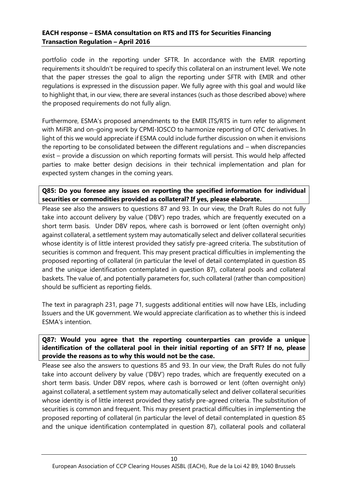portfolio code in the reporting under SFTR. In accordance with the EMIR reporting requirements it shouldn't be required to specify this collateral on an instrument level. We note that the paper stresses the goal to align the reporting under SFTR with EMIR and other regulations is expressed in the discussion paper. We fully agree with this goal and would like to highlight that, in our view, there are several instances (such as those described above) where the proposed requirements do not fully align.

Furthermore, ESMA's proposed amendments to the EMIR ITS/RTS in turn refer to alignment with MiFIR and on-going work by CPMI-IOSCO to harmonize reporting of OTC derivatives. In light of this we would appreciate if ESMA could include further discussion on when it envisions the reporting to be consolidated between the different regulations and – when discrepancies exist – provide a discussion on which reporting formats will persist. This would help affected parties to make better design decisions in their technical implementation and plan for expected system changes in the coming years.

# **Q85: Do you foresee any issues on reporting the specified information for individual securities or commodities provided as collateral? If yes, please elaborate.**

Please see also the answers to questions 87 and 93. In our view, the Draft Rules do not fully take into account delivery by value ('DBV') repo trades, which are frequently executed on a short term basis. Under DBV repos, where cash is borrowed or lent (often overnight only) against collateral, a settlement system may automatically select and deliver collateral securities whose identity is of little interest provided they satisfy pre-agreed criteria. The substitution of securities is common and frequent. This may present practical difficulties in implementing the proposed reporting of collateral (in particular the level of detail contemplated in question 85 and the unique identification contemplated in question 87), collateral pools and collateral baskets. The value of, and potentially parameters for, such collateral (rather than composition) should be sufficient as reporting fields.

The text in paragraph 231, page 71, suggests additional entities will now have LEIs, including Issuers and the UK government. We would appreciate clarification as to whether this is indeed ESMA's intention.

# **Q87: Would you agree that the reporting counterparties can provide a unique identification of the collateral pool in their initial reporting of an SFT? If no, please provide the reasons as to why this would not be the case.**

Please see also the answers to questions 85 and 93. In our view, the Draft Rules do not fully take into account delivery by value ('DBV') repo trades, which are frequently executed on a short term basis. Under DBV repos, where cash is borrowed or lent (often overnight only) against collateral, a settlement system may automatically select and deliver collateral securities whose identity is of little interest provided they satisfy pre-agreed criteria. The substitution of securities is common and frequent. This may present practical difficulties in implementing the proposed reporting of collateral (in particular the level of detail contemplated in question 85 and the unique identification contemplated in question 87), collateral pools and collateral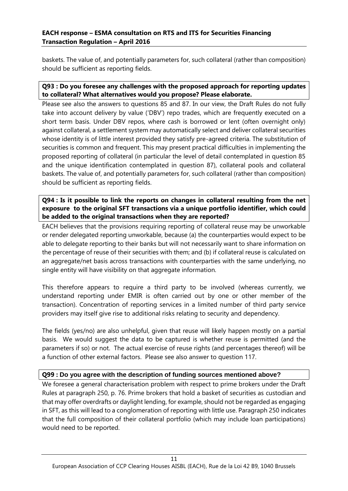baskets. The value of, and potentially parameters for, such collateral (rather than composition) should be sufficient as reporting fields.

# **Q93 : Do you foresee any challenges with the proposed approach for reporting updates to collateral? What alternatives would you propose? Please elaborate.**

Please see also the answers to questions 85 and 87. In our view, the Draft Rules do not fully take into account delivery by value ('DBV') repo trades, which are frequently executed on a short term basis. Under DBV repos, where cash is borrowed or lent (often overnight only) against collateral, a settlement system may automatically select and deliver collateral securities whose identity is of little interest provided they satisfy pre-agreed criteria. The substitution of securities is common and frequent. This may present practical difficulties in implementing the proposed reporting of collateral (in particular the level of detail contemplated in question 85 and the unique identification contemplated in question 87), collateral pools and collateral baskets. The value of, and potentially parameters for, such collateral (rather than composition) should be sufficient as reporting fields.

**Q94 : Is it possible to link the reports on changes in collateral resulting from the net exposure to the original SFT transactions via a unique portfolio identifier, which could be added to the original transactions when they are reported?**

EACH believes that the provisions requiring reporting of collateral reuse may be unworkable or render delegated reporting unworkable, because (a) the counterparties would expect to be able to delegate reporting to their banks but will not necessarily want to share information on the percentage of reuse of their securities with them; and (b) if collateral reuse is calculated on an aggregate/net basis across transactions with counterparties with the same underlying, no single entity will have visibility on that aggregate information.

This therefore appears to require a third party to be involved (whereas currently, we understand reporting under EMIR is often carried out by one or other member of the transaction). Concentration of reporting services in a limited number of third party service providers may itself give rise to additional risks relating to security and dependency.

The fields (yes/no) are also unhelpful, given that reuse will likely happen mostly on a partial basis. We would suggest the data to be captured is whether reuse is permitted (and the parameters if so) or not. The actual exercise of reuse rights (and percentages thereof) will be a function of other external factors. Please see also answer to question 117.

# **Q99 : Do you agree with the description of funding sources mentioned above?**

We foresee a general characterisation problem with respect to prime brokers under the Draft Rules at paragraph 250, p. 76. Prime brokers that hold a basket of securities as custodian and that may offer overdrafts or daylight lending, for example, should not be regarded as engaging in SFT, as this will lead to a conglomeration of reporting with little use. Paragraph 250 indicates that the full composition of their collateral portfolio (which may include loan participations) would need to be reported.